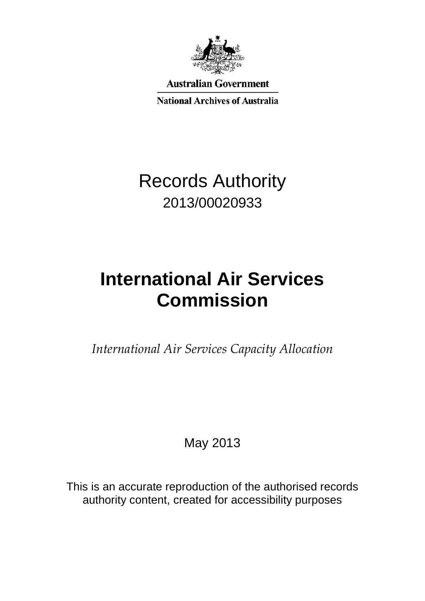

**Australian Government** 

**National Archives of Australia** 

## Records Authority 2013/00020933

# **International Air Services Commission**

*International Air Services Capacity Allocation*

May 2013

This is an accurate reproduction of the authorised records authority content, created for accessibility purposes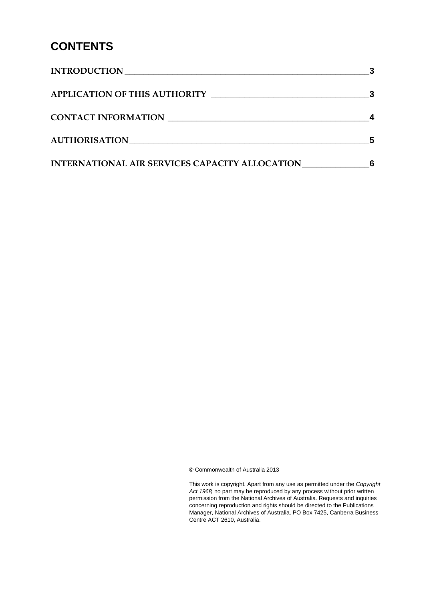### **CONTENTS**

| <b>INTRODUCTION</b>                            |   |
|------------------------------------------------|---|
| <b>APPLICATION OF THIS AUTHORITY</b>           |   |
| CONTACT INFORMATION                            |   |
| <b>AUTHORISATION</b>                           |   |
| INTERNATIONAL AIR SERVICES CAPACITY ALLOCATION | 6 |

© Commonwealth of Australia 2013

This work is copyright. Apart from any use as permitted under the *Copyright Act 1968,* no part may be reproduced by any process without prior written permission from the National Archives of Australia. Requests and inquiries concerning reproduction and rights should be directed to the Publications Manager, National Archives of Australia, PO Box 7425, Canberra Business Centre ACT 2610, Australia.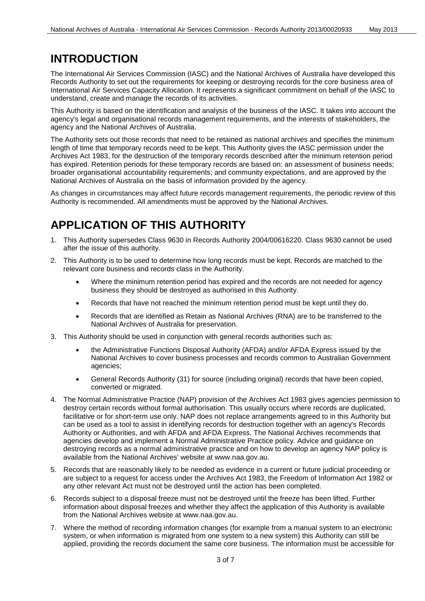#### <span id="page-2-0"></span>**INTRODUCTION**

The International Air Services Commission (IASC) and the National Archives of Australia have developed this Records Authority to set out the requirements for keeping or destroying records for the core business area of International Air Services Capacity Allocation. It represents a significant commitment on behalf of the IASC to understand, create and manage the records of its activities.

This Authority is based on the identification and analysis of the business of the IASC. It takes into account the agency's legal and organisational records management requirements, and the interests of stakeholders, the agency and the National Archives of Australia.

The Authority sets out those records that need to be retained as national archives and specifies the minimum length of time that temporary records need to be kept. This Authority gives the IASC permission under the Archives Act 1983, for the destruction of the temporary records described after the minimum retention period has expired. Retention periods for these temporary records are based on: an assessment of business needs; broader organisational accountability requirements; and community expectations, and are approved by the National Archives of Australia on the basis of information provided by the agency.

As changes in circumstances may affect future records management requirements, the periodic review of this Authority is recommended. All amendments must be approved by the National Archives.

### <span id="page-2-1"></span>**APPLICATION OF THIS AUTHORITY**

- 1. This Authority supersedes Class 9630 in Records Authority 2004/00616220. Class 9630 cannot be used after the issue of this authority.
- 2. This Authority is to be used to determine how long records must be kept. Records are matched to the relevant core business and records class in the Authority.
	- Where the minimum retention period has expired and the records are not needed for agency business they should be destroyed as authorised in this Authority.
	- Records that have not reached the minimum retention period must be kept until they do.
	- Records that are identified as Retain as National Archives (RNA) are to be transferred to the National Archives of Australia for preservation.
- 3. This Authority should be used in conjunction with general records authorities such as:
	- the Administrative Functions Disposal Authority (AFDA) and/or AFDA Express issued by the National Archives to cover business processes and records common to Australian Government agencies;
	- General Records Authority (31) for source (including original) records that have been copied, converted or migrated.
- 4. The Normal Administrative Practice (NAP) provision of the Archives Act 1983 gives agencies permission to destroy certain records without formal authorisation. This usually occurs where records are duplicated, facilitative or for short-term use only. NAP does not replace arrangements agreed to in this Authority but can be used as a tool to assist in identifying records for destruction together with an agency's Records Authority or Authorities, and with AFDA and AFDA Express. The National Archives recommends that agencies develop and implement a Normal Administrative Practice policy. Advice and guidance on destroying records as a normal administrative practice and on how to develop an agency NAP policy is available from the National Archives' website at www.naa.gov.au.
- 5. Records that are reasonably likely to be needed as evidence in a current or future judicial proceeding or are subject to a request for access under the Archives Act 1983, the Freedom of Information Act 1982 or any other relevant Act must not be destroyed until the action has been completed.
- 6. Records subject to a disposal freeze must not be destroyed until the freeze has been lifted. Further information about disposal freezes and whether they affect the application of this Authority is available from the National Archives website at www.naa.gov.au.
- 7. Where the method of recording information changes (for example from a manual system to an electronic system, or when information is migrated from one system to a new system) this Authority can still be applied, providing the records document the same core business. The information must be accessible for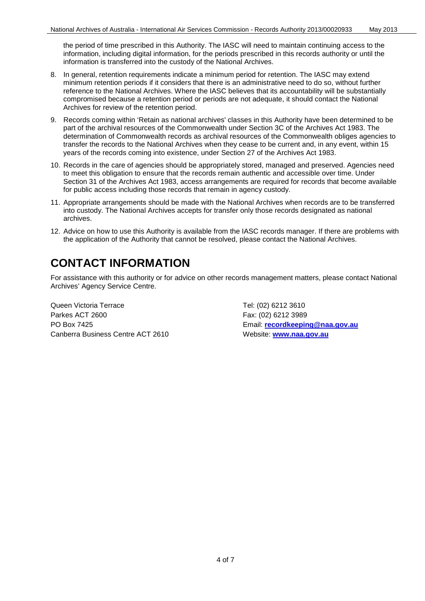the period of time prescribed in this Authority. The IASC will need to maintain continuing access to the information, including digital information, for the periods prescribed in this records authority or until the information is transferred into the custody of the National Archives.

- 8. In general, retention requirements indicate a minimum period for retention. The IASC may extend minimum retention periods if it considers that there is an administrative need to do so, without further reference to the National Archives. Where the IASC believes that its accountability will be substantially compromised because a retention period or periods are not adequate, it should contact the National Archives for review of the retention period.
- 9. Records coming within 'Retain as national archives' classes in this Authority have been determined to be part of the archival resources of the Commonwealth under Section 3C of the Archives Act 1983. The determination of Commonwealth records as archival resources of the Commonwealth obliges agencies to transfer the records to the National Archives when they cease to be current and, in any event, within 15 years of the records coming into existence, under Section 27 of the Archives Act 1983.
- 10. Records in the care of agencies should be appropriately stored, managed and preserved. Agencies need to meet this obligation to ensure that the records remain authentic and accessible over time. Under Section 31 of the Archives Act 1983, access arrangements are required for records that become available for public access including those records that remain in agency custody.
- 11. Appropriate arrangements should be made with the National Archives when records are to be transferred into custody. The National Archives accepts for transfer only those records designated as national archives.
- 12. Advice on how to use this Authority is available from the IASC records manager. If there are problems with the application of the Authority that cannot be resolved, please contact the National Archives.

### <span id="page-3-0"></span>**CONTACT INFORMATION**

For assistance with this authority or for advice on other records management matters, please contact National Archives' Agency Service Centre.

Queen Victoria Terrace Tel: (02) 6212 3610 Parkes ACT 2600 Fax: (02) 6212 3989 PO Box 7425 Email: **[recordkeeping@naa.gov.au](mailto:recordkeeping@naa.gov.au)** Canberra Business Centre ACT 2610 Website: **[www.naa.gov.au](http://www.naa.gov.au/)**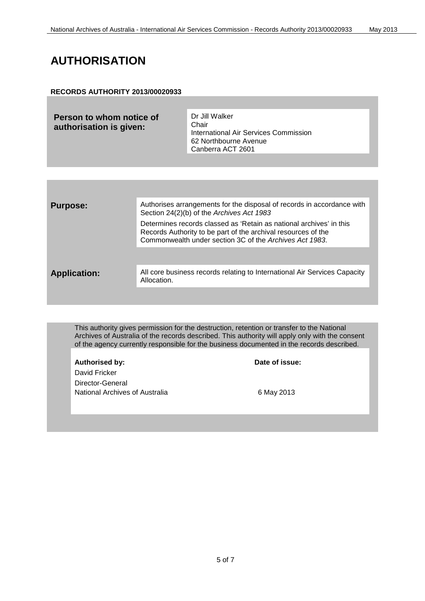### <span id="page-4-0"></span>**AUTHORISATION**

#### **RECORDS AUTHORITY 2013/00020933**

| Person to whom notice of<br>authorisation is given: | Dr Jill Walker<br>Chair<br>International Air Services Commission<br>62 Northbourne Avenue |
|-----------------------------------------------------|-------------------------------------------------------------------------------------------|
|                                                     | Canberra ACT 2601                                                                         |

| <b>Purpose:</b>     | Authorises arrangements for the disposal of records in accordance with<br>Section 24(2)(b) of the Archives Act 1983                                                                             |
|---------------------|-------------------------------------------------------------------------------------------------------------------------------------------------------------------------------------------------|
|                     | Determines records classed as 'Retain as national archives' in this<br>Records Authority to be part of the archival resources of the<br>Commonwealth under section 3C of the Archives Act 1983. |
|                     |                                                                                                                                                                                                 |
| <b>Application:</b> | All core business records relating to International Air Services Capacity<br>Allocation.                                                                                                        |
|                     |                                                                                                                                                                                                 |

This authority gives permission for the destruction, retention or transfer to the National Archives of Australia of the records described. This authority will apply only with the consent of the agency currently responsible for the business documented in the records described.

Authorised by: **Date of issue:** David Fricker Director-General National Archives of Australia 6 May 2013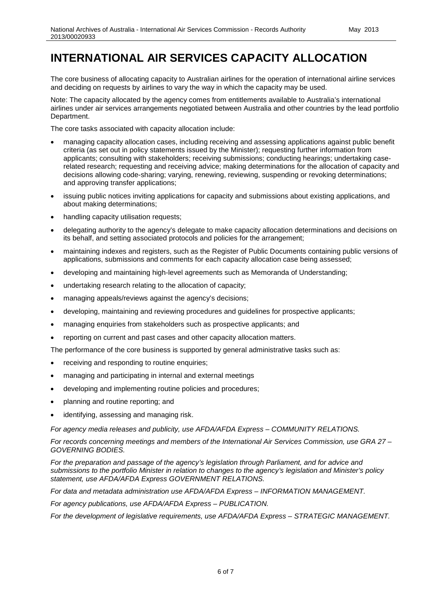#### <span id="page-5-0"></span>**INTERNATIONAL AIR SERVICES CAPACITY ALLOCATION**

The core business of allocating capacity to Australian airlines for the operation of international airline services and deciding on requests by airlines to vary the way in which the capacity may be used.

Note: The capacity allocated by the agency comes from entitlements available to Australia's international airlines under air services arrangements negotiated between Australia and other countries by the lead portfolio Department.

The core tasks associated with capacity allocation include:

- managing capacity allocation cases, including receiving and assessing applications against public benefit criteria (as set out in policy statements issued by the Minister); requesting further information from applicants; consulting with stakeholders; receiving submissions; conducting hearings; undertaking caserelated research; requesting and receiving advice; making determinations for the allocation of capacity and decisions allowing code-sharing; varying, renewing, reviewing, suspending or revoking determinations; and approving transfer applications;
- issuing public notices inviting applications for capacity and submissions about existing applications, and about making determinations;
- handling capacity utilisation requests;
- delegating authority to the agency's delegate to make capacity allocation determinations and decisions on its behalf, and setting associated protocols and policies for the arrangement;
- maintaining indexes and registers, such as the Register of Public Documents containing public versions of applications, submissions and comments for each capacity allocation case being assessed;
- developing and maintaining high-level agreements such as Memoranda of Understanding;
- undertaking research relating to the allocation of capacity;
- managing appeals/reviews against the agency's decisions;
- developing, maintaining and reviewing procedures and guidelines for prospective applicants;
- managing enquiries from stakeholders such as prospective applicants; and
- reporting on current and past cases and other capacity allocation matters.

The performance of the core business is supported by general administrative tasks such as:

- receiving and responding to routine enquiries;
- managing and participating in internal and external meetings
- developing and implementing routine policies and procedures;
- planning and routine reporting; and
- identifying, assessing and managing risk.

*For agency media releases and publicity, use AFDA/AFDA Express – COMMUNITY RELATIONS.*

*For records concerning meetings and members of the International Air Services Commission, use GRA 27 – GOVERNING BODIES.*

*For the preparation and passage of the agency's legislation through Parliament, and for advice and submissions to the portfolio Minister in relation to changes to the agency's legislation and Minister's policy statement, use AFDA/AFDA Express GOVERNMENT RELATIONS.*

*For data and metadata administration use AFDA/AFDA Express – INFORMATION MANAGEMENT.*

*For agency publications, use AFDA/AFDA Express – PUBLICATION.*

*For the development of legislative requirements, use AFDA/AFDA Express – STRATEGIC MANAGEMENT.*